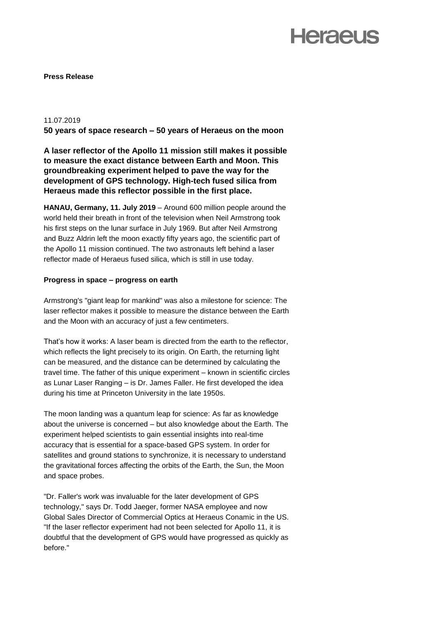## **Heraeus**

**Press Release**

#### 11.07.2019

**50 years of space research – 50 years of Heraeus on the moon**

**A laser reflector of the Apollo 11 mission still makes it possible to measure the exact distance between Earth and Moon. This groundbreaking experiment helped to pave the way for the development of GPS technology. High-tech fused silica from Heraeus made this reflector possible in the first place.** 

**HANAU, Germany, 11. July 2019** – Around 600 million people around the world held their breath in front of the television when Neil Armstrong took his first steps on the lunar surface in July 1969. But after Neil Armstrong and Buzz Aldrin left the moon exactly fifty years ago, the scientific part of the Apollo 11 mission continued. The two astronauts left behind a laser reflector made of Heraeus fused silica, which is still in use today.

### **Progress in space – progress on earth**

Armstrong's "giant leap for mankind" was also a milestone for science: The laser reflector makes it possible to measure the distance between the Earth and the Moon with an accuracy of just a few centimeters.

That's how it works: A laser beam is directed from the earth to the reflector, which reflects the light precisely to its origin. On Earth, the returning light can be measured, and the distance can be determined by calculating the travel time. The father of this unique experiment – known in scientific circles as Lunar Laser Ranging – is Dr. James Faller. He first developed the idea during his time at Princeton University in the late 1950s.

The moon landing was a quantum leap for science: As far as knowledge about the universe is concerned – but also knowledge about the Earth. The experiment helped scientists to gain essential insights into real-time accuracy that is essential for a space-based GPS system. In order for satellites and ground stations to synchronize, it is necessary to understand the gravitational forces affecting the orbits of the Earth, the Sun, the Moon and space probes.

"Dr. Faller's work was invaluable for the later development of GPS technology," says Dr. Todd Jaeger, former NASA employee and now Global Sales Director of Commercial Optics at Heraeus Conamic in the US. "If the laser reflector experiment had not been selected for Apollo 11, it is doubtful that the development of GPS would have progressed as quickly as before."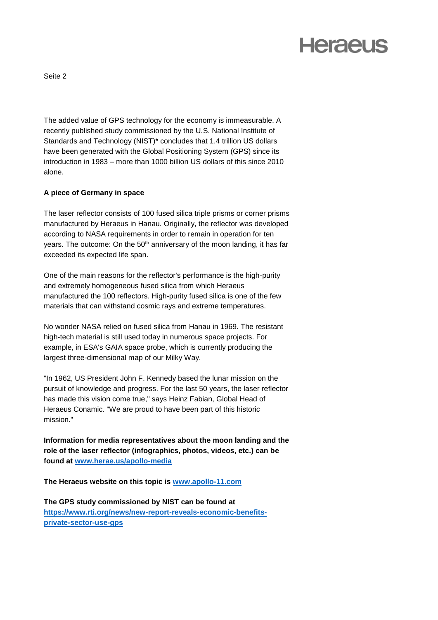# **Heraeus**

Seite 2

The added value of GPS technology for the economy is immeasurable. A recently published study commissioned by the U.S. National Institute of Standards and Technology (NIST)\* concludes that 1.4 trillion US dollars have been generated with the Global Positioning System (GPS) since its introduction in 1983 – more than 1000 billion US dollars of this since 2010 alone.

### **A piece of Germany in space**

The laser reflector consists of 100 fused silica triple prisms or corner prisms manufactured by Heraeus in Hanau. Originally, the reflector was developed according to NASA requirements in order to remain in operation for ten years. The outcome: On the 50<sup>th</sup> anniversary of the moon landing, it has far exceeded its expected life span.

One of the main reasons for the reflector's performance is the high-purity and extremely homogeneous fused silica from which Heraeus manufactured the 100 reflectors. High-purity fused silica is one of the few materials that can withstand cosmic rays and extreme temperatures.

No wonder NASA relied on fused silica from Hanau in 1969. The resistant high-tech material is still used today in numerous space projects. For example, in ESA's GAIA space probe, which is currently producing the largest three-dimensional map of our Milky Way.

"In 1962, US President John F. Kennedy based the lunar mission on the pursuit of knowledge and progress. For the last 50 years, the laser reflector has made this vision come true," says Heinz Fabian, Global Head of Heraeus Conamic. "We are proud to have been part of this historic mission."

**Information for media representatives about the moon landing and the role of the laser reflector (infographics, photos, videos, etc.) can be found at [www.herae.us/apollo-media](http://www.herae.us/apollo-media)**

**The Heraeus website on this topic is [www.apollo-11.com](http://www.apollo-11.com/)**

**The GPS study commissioned by NIST can be found at [https://www.rti.org/news/new-report-reveals-economic-benefits](https://www.rti.org/news/new-report-reveals-economic-benefits-private-sector-use-gps)[private-sector-use-gps](https://www.rti.org/news/new-report-reveals-economic-benefits-private-sector-use-gps)**